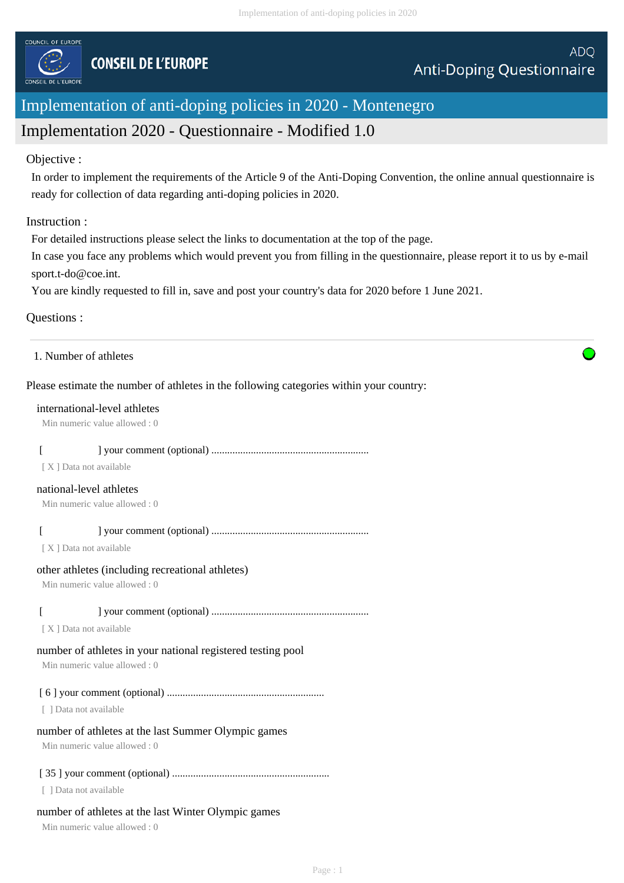

# Implementation of anti-doping policies in 2020 - Montenegro

# Implementation 2020 - Questionnaire - Modified 1.0

### Objective :

In order to implement the requirements of the Article 9 of the Anti-Doping Convention, the online annual questionnaire is ready for collection of data regarding anti-doping policies in 2020.

### Instruction :

For detailed instructions please select the links to documentation at the top of the page.

In case you face any problems which would prevent you from filling in the questionnaire, please report it to us by e-mail sport.t-do@coe.int.

You are kindly requested to fill in, save and post your country's data for 2020 before 1 June 2021.

## Questions :

## Please estimate the number of athletes in the following categories within your country:

#### international-level athletes

Min numeric value allowed : 0

## [ ] your comment (optional) ............................................................

[ X ] Data not available

#### national-level athletes

Min numeric value allowed : 0

## [ ] your comment (optional) ............................................................

[ X ] Data not available

#### other athletes (including recreational athletes)

Min numeric value allowed : 0

## [ ] your comment (optional) ............................................................

[X] Data not available

## number of athletes in your national registered testing pool

Min numeric value allowed : 0

## [ 6 ] your comment (optional) ............................................................

[ ] Data not available

## number of athletes at the last Summer Olympic games

Min numeric value allowed : 0

## [ 35 ] your comment (optional) ............................................................

[ ] Data not available

## number of athletes at the last Winter Olympic games

Min numeric value allowed : 0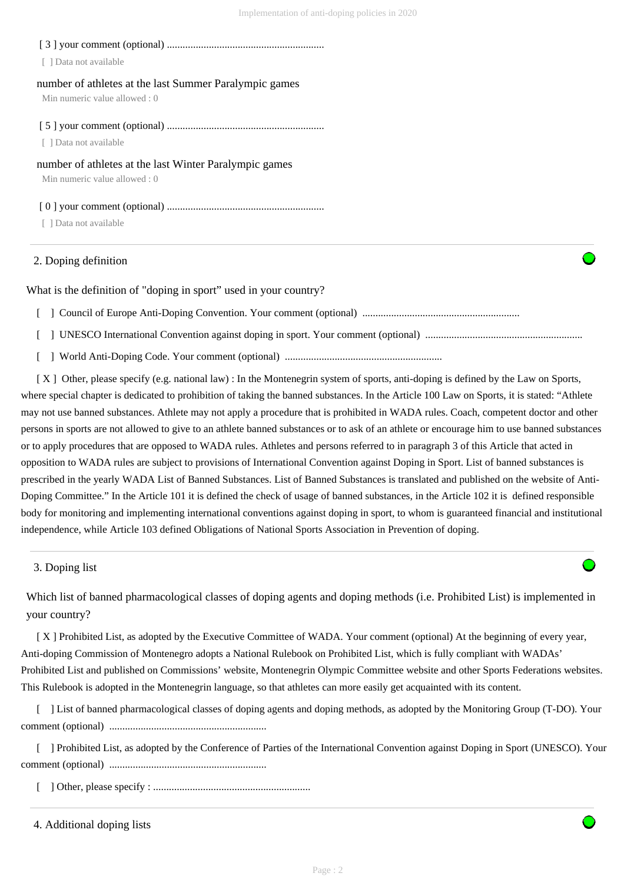[ 3 ] your comment (optional) ............................................................

[ ] Data not available

#### number of athletes at the last Summer Paralympic games

Min numeric value allowed : 0

[ 5 ] your comment (optional) ............................................................

[ ] Data not available

#### number of athletes at the last Winter Paralympic games

Min numeric value allowed : 0

[ 0 ] your comment (optional) ............................................................

[ ] Data not available

## 2. Doping definition

What is the definition of "doping in sport" used in your country?

[ ] Council of Europe Anti-Doping Convention. Your comment (optional) ............................................................

[ ] UNESCO International Convention against doping in sport. Your comment (optional) ............................................................

[ ] World Anti-Doping Code. Your comment (optional) ............................................................

 [ X ] Other, please specify (e.g. national law) : In the Montenegrin system of sports, anti-doping is defined by the Law on Sports, where special chapter is dedicated to prohibition of taking the banned substances. In the Article 100 Law on Sports, it is stated: "Athlete may not use banned substances. Athlete may not apply a procedure that is prohibited in WADA rules. Coach, competent doctor and other persons in sports are not allowed to give to an athlete banned substances or to ask of an athlete or encourage him to use banned substances or to apply procedures that are opposed to WADA rules. Athletes and persons referred to in paragraph 3 of this Article that acted in opposition to WADA rules are subject to provisions of International Convention against Doping in Sport. List of banned substances is prescribed in the yearly WADA List of Banned Substances. List of Banned Substances is translated and published on the website of Anti-Doping Committee." In the Article 101 it is defined the check of usage of banned substances, in the Article 102 it is defined responsible body for monitoring and implementing international conventions against doping in sport, to whom is guaranteed financial and institutional independence, while Article 103 defined Obligations of National Sports Association in Prevention of doping.

3. Doping list

Which list of banned pharmacological classes of doping agents and doping methods (i.e. Prohibited List) is implemented in your country?

[X] Prohibited List, as adopted by the Executive Committee of WADA. Your comment (optional) At the beginning of every year, Anti-doping Commission of Montenegro adopts a National Rulebook on Prohibited List, which is fully compliant with WADAs' Prohibited List and published on Commissions' website, Montenegrin Olympic Committee website and other Sports Federations websites. This Rulebook is adopted in the Montenegrin language, so that athletes can more easily get acquainted with its content.

 [ ] List of banned pharmacological classes of doping agents and doping methods, as adopted by the Monitoring Group (T-DO). Your comment (optional) ............................................................

 [ ] Prohibited List, as adopted by the Conference of Parties of the International Convention against Doping in Sport (UNESCO). Your comment (optional) ............................................................

[ ] Other, please specify : ............................................................

```
4. Additional doping lists
```
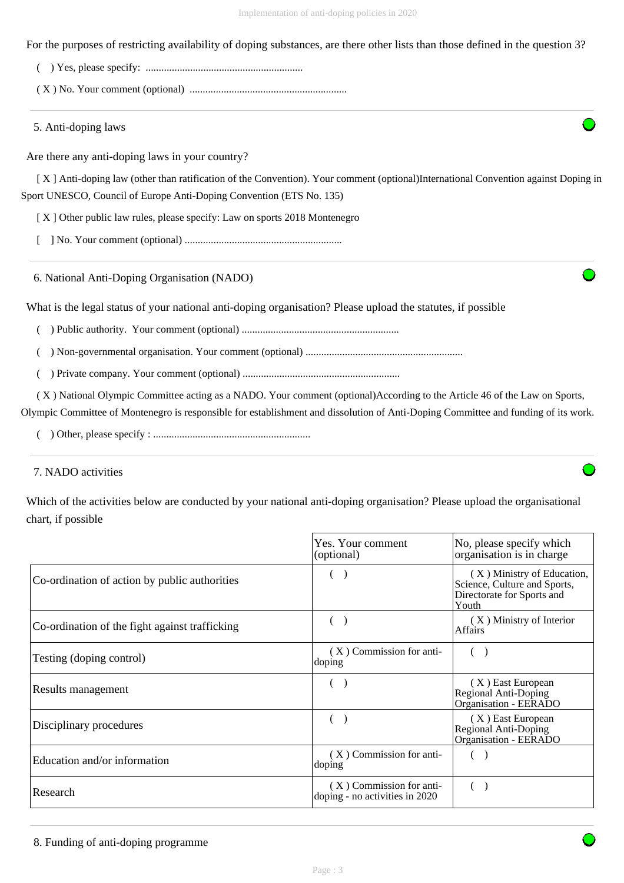For the purposes of restricting availability of doping substances, are there other lists than those defined in the question 3?

( ) Yes, please specify: ............................................................

( X ) No. Your comment (optional) ............................................................

5. Anti-doping laws

Are there any anti-doping laws in your country?

 [ X ] Anti-doping law (other than ratification of the Convention). Your comment (optional)International Convention against Doping in Sport UNESCO, Council of Europe Anti-Doping Convention (ETS No. 135)

[X] Other public law rules, please specify: Law on sports 2018 Montenegro

[ ] No. Your comment (optional) ............................................................

6. National Anti-Doping Organisation (NADO)

What is the legal status of your national anti-doping organisation? Please upload the statutes, if possible

( ) Public authority. Your comment (optional) ............................................................

( ) Non-governmental organisation. Your comment (optional) ............................................................

( ) Private company. Your comment (optional) ............................................................

 ( X ) National Olympic Committee acting as a NADO. Your comment (optional)According to the Article 46 of the Law on Sports, Olympic Committee of Montenegro is responsible for establishment and dissolution of Anti-Doping Committee and funding of its work.

( ) Other, please specify : ............................................................

## 7. NADO activities

Which of the activities below are conducted by your national anti-doping organisation? Please upload the organisational chart, if possible

|                                                | Yes. Your comment<br>(optional)                            | No, please specify which<br>organisation is in charge                                             |
|------------------------------------------------|------------------------------------------------------------|---------------------------------------------------------------------------------------------------|
| Co-ordination of action by public authorities  |                                                            | (X) Ministry of Education,<br>Science, Culture and Sports,<br>Directorate for Sports and<br>Youth |
| Co-ordination of the fight against trafficking |                                                            | (X) Ministry of Interior<br>Affairs                                                               |
| Testing (doping control)                       | $(X)$ Commission for anti-<br>doping                       |                                                                                                   |
| Results management                             |                                                            | (X) East European<br><b>Regional Anti-Doping</b><br>Organisation - EERADO                         |
| Disciplinary procedures                        |                                                            | (X) East European<br>Regional Anti-Doping<br>Organisation - EERADO                                |
| Education and/or information                   | (X) Commission for anti-<br>doping                         |                                                                                                   |
| Research                                       | (X) Commission for anti-<br>doping - no activities in 2020 |                                                                                                   |

8. Funding of anti-doping programme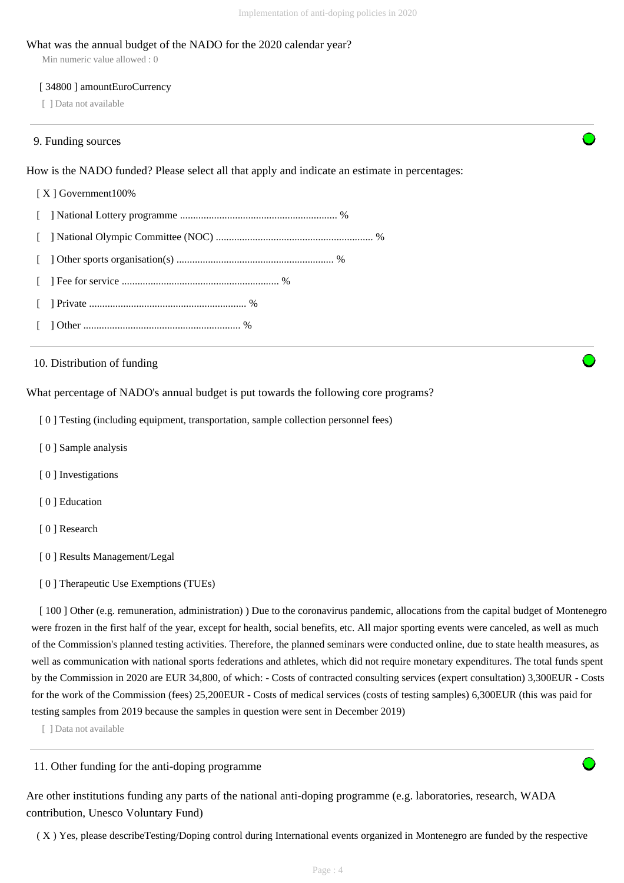#### What was the annual budget of the NADO for the 2020 calendar year?

Min numeric value allowed : 0

#### [ 34800 ] amountEuroCurrency

[ ] Data not available

#### 9. Funding sources

How is the NADO funded? Please select all that apply and indicate an estimate in percentages:

#### [ X ] Government100%

- [ ] National Lottery programme ............................................................ %
- [ ] National Olympic Committee (NOC) ............................................................ %
- [ ] Other sports organisation(s) ............................................................ %
- [ ] Fee for service ............................................................ %
- [ ] Private ............................................................ %
- [ ] Other ............................................................ %

#### 10. Distribution of funding

What percentage of NADO's annual budget is put towards the following core programs?

- [ 0 ] Testing (including equipment, transportation, sample collection personnel fees)
- [ 0 ] Sample analysis
- [ 0 ] Investigations
- [ 0 ] Education
- [ 0 ] Research
- [ 0 ] Results Management/Legal
- [ 0 ] Therapeutic Use Exemptions (TUEs)

[ 100 ] Other (e.g. remuneration, administration) ) Due to the coronavirus pandemic, allocations from the capital budget of Montenegro were frozen in the first half of the year, except for health, social benefits, etc. All major sporting events were canceled, as well as much of the Commission's planned testing activities. Therefore, the planned seminars were conducted online, due to state health measures, as well as communication with national sports federations and athletes, which did not require monetary expenditures. The total funds spent by the Commission in 2020 are EUR 34,800, of which: - Costs of contracted consulting services (expert consultation) 3,300EUR - Costs for the work of the Commission (fees) 25,200EUR - Costs of medical services (costs of testing samples) 6,300EUR (this was paid for testing samples from 2019 because the samples in question were sent in December 2019)

[ ] Data not available

#### 11. Other funding for the anti-doping programme

Are other institutions funding any parts of the national anti-doping programme (e.g. laboratories, research, WADA contribution, Unesco Voluntary Fund)

( X ) Yes, please describeTesting/Doping control during International events organized in Montenegro are funded by the respective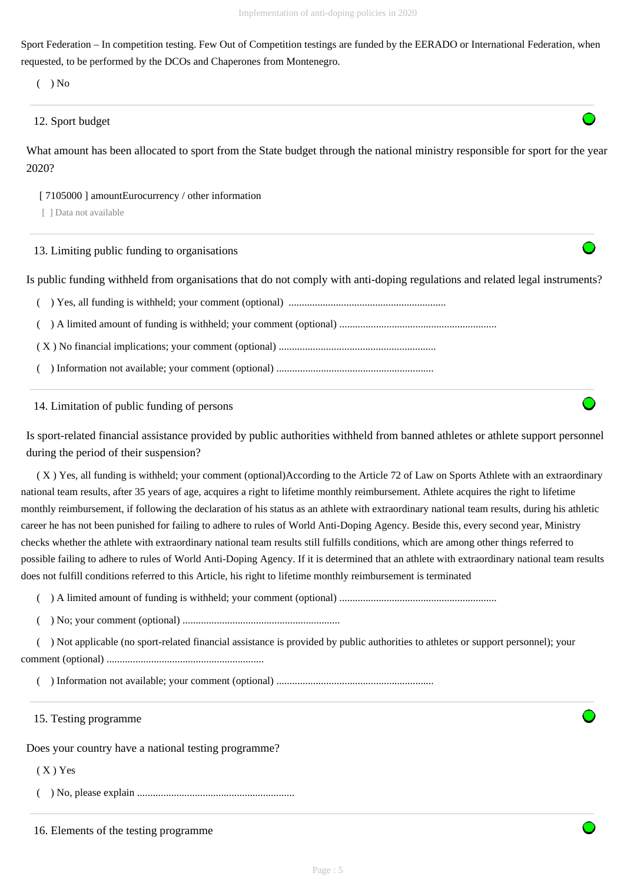Sport Federation – In competition testing. Few Out of Competition testings are funded by the EERADO or International Federation, when requested, to be performed by the DCOs and Chaperones from Montenegro.

 $($   $)$  No

## 12. Sport budget

What amount has been allocated to sport from the State budget through the national ministry responsible for sport for the year 2020?

[ 7105000 ] amountEurocurrency / other information

[ ] Data not available

13. Limiting public funding to organisations

Is public funding withheld from organisations that do not comply with anti-doping regulations and related legal instruments?

( ) Yes, all funding is withheld; your comment (optional) ............................................................

( ) A limited amount of funding is withheld; your comment (optional) ............................................................

( X ) No financial implications; your comment (optional) ............................................................

( ) Information not available; your comment (optional) ............................................................

14. Limitation of public funding of persons

Is sport-related financial assistance provided by public authorities withheld from banned athletes or athlete support personnel during the period of their suspension?

 ( X ) Yes, all funding is withheld; your comment (optional)According to the Article 72 of Law on Sports Athlete with an extraordinary national team results, after 35 years of age, acquires a right to lifetime monthly reimbursement. Athlete acquires the right to lifetime monthly reimbursement, if following the declaration of his status as an athlete with extraordinary national team results, during his athletic career he has not been punished for failing to adhere to rules of World Anti-Doping Agency. Beside this, every second year, Ministry checks whether the athlete with extraordinary national team results still fulfills conditions, which are among other things referred to possible failing to adhere to rules of World Anti-Doping Agency. If it is determined that an athlete with extraordinary national team results does not fulfill conditions referred to this Article, his right to lifetime monthly reimbursement is terminated

( ) A limited amount of funding is withheld; your comment (optional) ............................................................

( ) No; your comment (optional) ............................................................

 ( ) Not applicable (no sport-related financial assistance is provided by public authorities to athletes or support personnel); your comment (optional) ............................................................

( ) Information not available; your comment (optional) ............................................................

15. Testing programme

Does your country have a national testing programme?

 $(X)$  Yes

( ) No, please explain ............................................................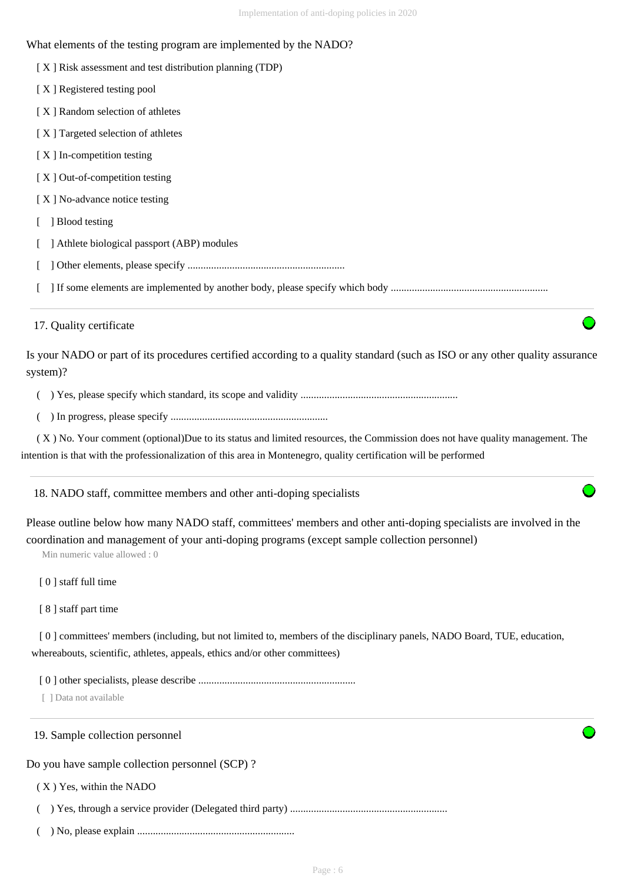| What elements of the testing program are implemented by the NADO?                                                                                                                                                                                    |
|------------------------------------------------------------------------------------------------------------------------------------------------------------------------------------------------------------------------------------------------------|
| [X] Risk assessment and test distribution planning (TDP)                                                                                                                                                                                             |
| [X] Registered testing pool                                                                                                                                                                                                                          |
| [X] Random selection of athletes                                                                                                                                                                                                                     |
| [X] Targeted selection of athletes                                                                                                                                                                                                                   |
| [X] In-competition testing                                                                                                                                                                                                                           |
| [X] Out-of-competition testing                                                                                                                                                                                                                       |
| [X] No-advance notice testing                                                                                                                                                                                                                        |
| ] Blood testing                                                                                                                                                                                                                                      |
| ] Athlete biological passport (ABP) modules                                                                                                                                                                                                          |
|                                                                                                                                                                                                                                                      |
|                                                                                                                                                                                                                                                      |
| 17. Quality certificate                                                                                                                                                                                                                              |
| Is your NADO or part of its procedures certified according to a quality standard (such as ISO or any other quality assurance<br>system)?                                                                                                             |
|                                                                                                                                                                                                                                                      |
|                                                                                                                                                                                                                                                      |
| (X) No. Your comment (optional)Due to its status and limited resources, the Commission does not have quality management. The                                                                                                                         |
| intention is that with the professionalization of this area in Montenegro, quality certification will be performed                                                                                                                                   |
| 18. NADO staff, committee members and other anti-doping specialists                                                                                                                                                                                  |
| Please outline below how many NADO staff, committees' members and other anti-doping specialists are involved in the<br>coordination and management of your anti-doping programs (except sample collection personnel)<br>Min numeric value allowed: 0 |
| [0] staff full time                                                                                                                                                                                                                                  |
| [8] staff part time                                                                                                                                                                                                                                  |
| [0] committees' members (including, but not limited to, members of the disciplinary panels, NADO Board, TUE, education,                                                                                                                              |
| whereabouts, scientific, athletes, appeals, ethics and/or other committees)                                                                                                                                                                          |
|                                                                                                                                                                                                                                                      |
| [ ] Data not available                                                                                                                                                                                                                               |
| 19. Sample collection personnel                                                                                                                                                                                                                      |

Do you have sample collection personnel (SCP) ?

( X ) Yes, within the NADO

( ) Yes, through a service provider (Delegated third party) ............................................................

( ) No, please explain ............................................................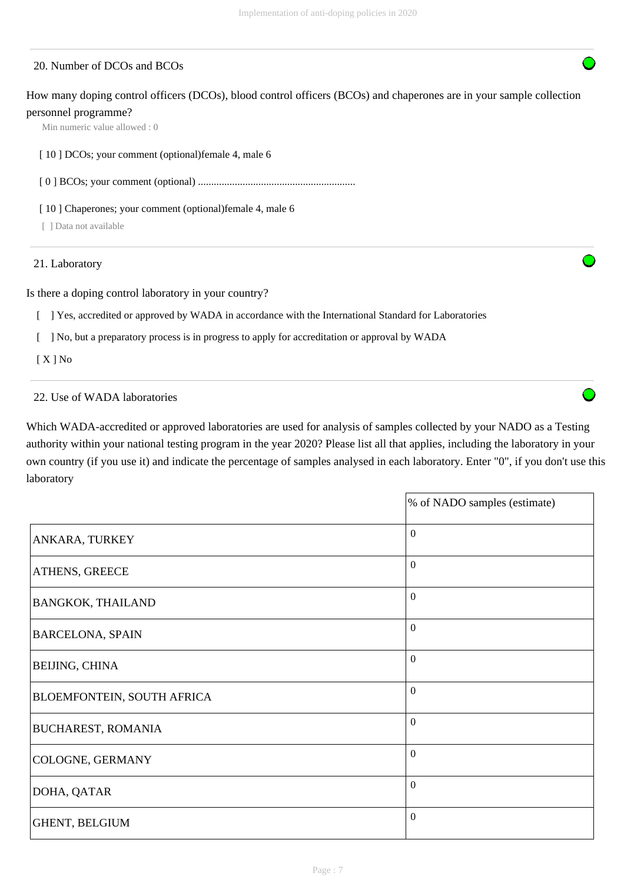## 20. Number of DCOs and BCOs

How many doping control officers (DCOs), blood control officers (BCOs) and chaperones are in your sample collection personnel programme?

Min numeric value allowed : 0

[ 10 ] DCOs; your comment (optional)female 4, male 6

[ 0 ] BCOs; your comment (optional) ............................................................

[ 10 ] Chaperones; your comment (optional) female 4, male 6

[ ] Data not available

21. Laboratory

Is there a doping control laboratory in your country?

[ ] Yes, accredited or approved by WADA in accordance with the International Standard for Laboratories

[ ] No, but a preparatory process is in progress to apply for accreditation or approval by WADA

[ X ] No

#### 22. Use of WADA laboratories

Which WADA-accredited or approved laboratories are used for analysis of samples collected by your NADO as a Testing authority within your national testing program in the year 2020? Please list all that applies, including the laboratory in your own country (if you use it) and indicate the percentage of samples analysed in each laboratory. Enter "0", if you don't use this laboratory

|                            | % of NADO samples (estimate) |
|----------------------------|------------------------------|
| ANKARA, TURKEY             | $\boldsymbol{0}$             |
| ATHENS, GREECE             | $\mathbf{0}$                 |
| BANGKOK, THAILAND          | $\Omega$                     |
| <b>BARCELONA, SPAIN</b>    | $\Omega$                     |
| BEIJING, CHINA             | $\Omega$                     |
| BLOEMFONTEIN, SOUTH AFRICA | $\mathbf{0}$                 |
| BUCHAREST, ROMANIA         | $\boldsymbol{0}$             |
| COLOGNE, GERMANY           | $\boldsymbol{0}$             |
| DOHA, QATAR                | $\boldsymbol{0}$             |
| GHENT, BELGIUM             | $\mathbf{0}$                 |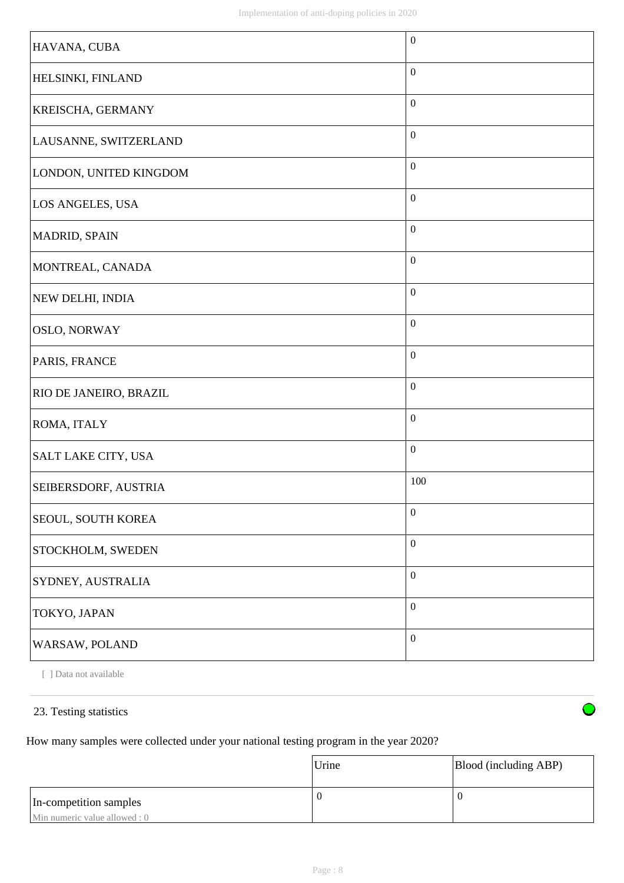| HAVANA, CUBA           | $\boldsymbol{0}$ |
|------------------------|------------------|
| HELSINKI, FINLAND      | $\mathbf{0}$     |
| KREISCHA, GERMANY      | $\boldsymbol{0}$ |
| LAUSANNE, SWITZERLAND  | $\mathbf{0}$     |
| LONDON, UNITED KINGDOM | $\boldsymbol{0}$ |
| LOS ANGELES, USA       | $\mathbf{0}$     |
| MADRID, SPAIN          | $\boldsymbol{0}$ |
| MONTREAL, CANADA       | $\boldsymbol{0}$ |
| NEW DELHI, INDIA       | $\boldsymbol{0}$ |
| <b>OSLO, NORWAY</b>    | $\boldsymbol{0}$ |
| PARIS, FRANCE          | $\boldsymbol{0}$ |
| RIO DE JANEIRO, BRAZIL | $\boldsymbol{0}$ |
| ROMA, ITALY            | $\boldsymbol{0}$ |
| SALT LAKE CITY, USA    | $\boldsymbol{0}$ |
| SEIBERSDORF, AUSTRIA   | 100              |
| SEOUL, SOUTH KOREA     | $\boldsymbol{0}$ |
| STOCKHOLM, SWEDEN      | $\boldsymbol{0}$ |
| SYDNEY, AUSTRALIA      | $\boldsymbol{0}$ |
| TOKYO, JAPAN           | $\boldsymbol{0}$ |
| WARSAW, POLAND         | $\boldsymbol{0}$ |

[ ] Data not available

## 23. Testing statistics

How many samples were collected under your national testing program in the year 2020?

|                               | Urine | Blood (including ABP) |
|-------------------------------|-------|-----------------------|
| In-competition samples        | U     |                       |
| Min numeric value allowed : 0 |       |                       |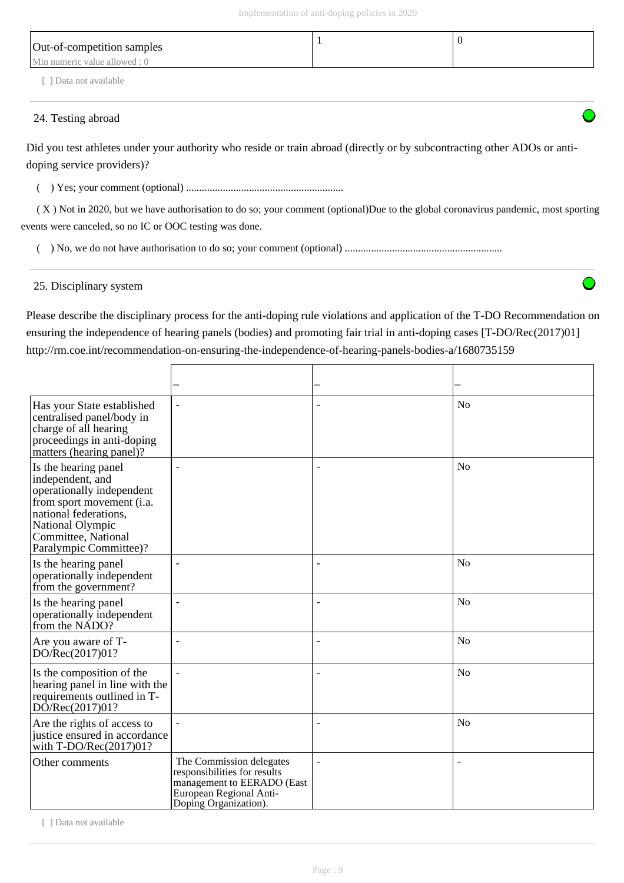| Out-of-competition samples    |  |
|-------------------------------|--|
| Min numeric value allowed : 0 |  |
| 1 Data not available          |  |

## 24. Testing abroad

Did you test athletes under your authority who reside or train abroad (directly or by subcontracting other ADOs or antidoping service providers)?

( ) Yes; your comment (optional) ............................................................

 ( X ) Not in 2020, but we have authorisation to do so; your comment (optional)Due to the global coronavirus pandemic, most sporting events were canceled, so no IC or OOC testing was done.

( ) No, we do not have authorisation to do so; your comment (optional) ............................................................

## 25. Disciplinary system

Please describe the disciplinary process for the anti-doping rule violations and application of the T-DO Recommendation on ensuring the independence of hearing panels (bodies) and promoting fair trial in anti-doping cases [T-DO/Rec(2017)01] http://rm.coe.int/recommendation-on-ensuring-the-independence-of-hearing-panels-bodies-a/1680735159

| Has your State established<br>centralised panel/body in<br>charge of all hearing<br>proceedings in anti-doping<br>matters (hearing panel)?                                                       | $\overline{\phantom{a}}$                                                                                                                   | ٠              | N <sub>0</sub> |
|--------------------------------------------------------------------------------------------------------------------------------------------------------------------------------------------------|--------------------------------------------------------------------------------------------------------------------------------------------|----------------|----------------|
| Is the hearing panel<br>independent, and<br>operationally independent<br>from sport movement (i.a.<br>national federations,<br>National Olympic<br>Committee, National<br>Paralympic Committee)? |                                                                                                                                            |                | N <sub>o</sub> |
| Is the hearing panel<br>operationally independent<br>from the government?                                                                                                                        |                                                                                                                                            |                | No             |
| Is the hearing panel<br>operationally independent<br>from the NADO?                                                                                                                              |                                                                                                                                            | ٠              | N <sub>o</sub> |
| Are you aware of T-<br>DO/Rec(2017)01?                                                                                                                                                           | $\overline{a}$                                                                                                                             | ÷,             | N <sub>o</sub> |
| Is the composition of the<br>hearing panel in line with the<br>requirements outlined in T-<br>DO/Rec(2017)01?                                                                                    | $\overline{a}$                                                                                                                             |                | N <sub>o</sub> |
| Are the rights of access to<br>justice ensured in accordance<br>with T-DO/Rec(2017)01?                                                                                                           | $\blacksquare$                                                                                                                             |                | N <sub>o</sub> |
| Other comments                                                                                                                                                                                   | The Commission delegates<br>responsibilities for results<br>management to EERADO (East<br>European Regional Anti-<br>Doping Organization). | $\overline{a}$ |                |

[ ] Data not available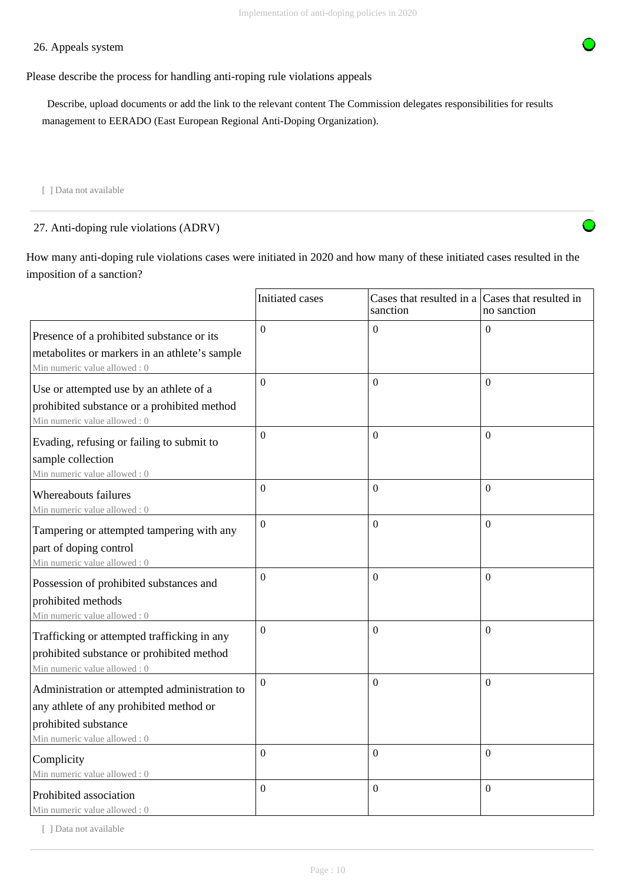## 26. Appeals system



## Please describe the process for handling anti-roping rule violations appeals

 Describe, upload documents or add the link to the relevant content The Commission delegates responsibilities for results management to EERADO (East European Regional Anti-Doping Organization).

[ ] Data not available

27. Anti-doping rule violations (ADRV)

How many anti-doping rule violations cases were initiated in 2020 and how many of these initiated cases resulted in the imposition of a sanction?

|                                                                                                                                                  | Initiated cases  | Cases that resulted in a Cases that resulted in<br>sanction | no sanction      |
|--------------------------------------------------------------------------------------------------------------------------------------------------|------------------|-------------------------------------------------------------|------------------|
| Presence of a prohibited substance or its<br>metabolites or markers in an athlete's sample<br>Min numeric value allowed: 0                       | $\Omega$         | $\Omega$                                                    | $\Omega$         |
| Use or attempted use by an athlete of a<br>prohibited substance or a prohibited method<br>Min numeric value allowed: 0                           | $\Omega$         | $\Omega$                                                    | $\Omega$         |
| Evading, refusing or failing to submit to<br>sample collection<br>Min numeric value allowed: 0                                                   | $\overline{0}$   | $\Omega$                                                    | $\Omega$         |
| Whereabouts failures<br>Min numeric value allowed: 0                                                                                             | $\boldsymbol{0}$ | $\mathbf{0}$                                                | $\mathbf{0}$     |
| Tampering or attempted tampering with any<br>part of doping control<br>Min numeric value allowed: 0                                              | $\Omega$         | $\overline{0}$                                              | $\Omega$         |
| Possession of prohibited substances and<br>prohibited methods<br>Min numeric value allowed: 0                                                    | $\overline{0}$   | $\Omega$                                                    | $\overline{0}$   |
| Trafficking or attempted trafficking in any<br>prohibited substance or prohibited method<br>Min numeric value allowed: 0                         | $\Omega$         | $\Omega$                                                    | $\Omega$         |
| Administration or attempted administration to<br>any athlete of any prohibited method or<br>prohibited substance<br>Min numeric value allowed: 0 | $\Omega$         | $\mathbf{0}$                                                | $\Omega$         |
| Complicity<br>Min numeric value allowed: 0                                                                                                       | $\mathbf{0}$     | $\mathbf{0}$                                                | $\overline{0}$   |
| Prohibited association<br>Min numeric value allowed: 0                                                                                           | $\Omega$         | $\mathbf{0}$                                                | $\boldsymbol{0}$ |

[ ] Data not available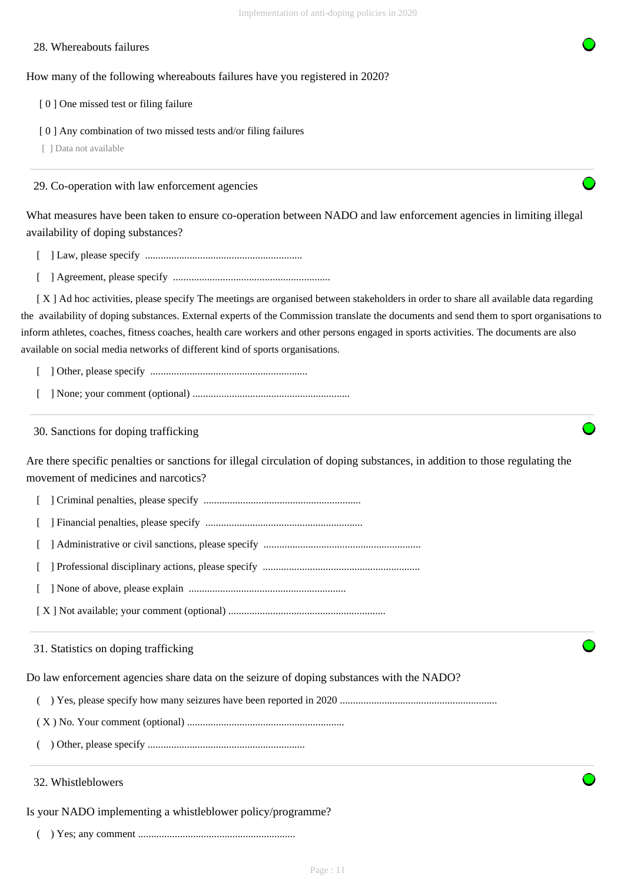#### 28. Whereabouts failures

#### How many of the following whereabouts failures have you registered in 2020?

- [ 0 ] One missed test or filing failure
- [ 0 ] Any combination of two missed tests and/or filing failures

[ ] Data not available

29. Co-operation with law enforcement agencies

What measures have been taken to ensure co-operation between NADO and law enforcement agencies in limiting illegal availability of doping substances?

- [ ] Law, please specify ............................................................
- [ ] Agreement, please specify ............................................................

 [ X ] Ad hoc activities, please specify The meetings are organised between stakeholders in order to share all available data regarding the availability of doping substances. External experts of the Commission translate the documents and send them to sport organisations to inform athletes, coaches, fitness coaches, health care workers and other persons engaged in sports activities. The documents are also available on social media networks of different kind of sports organisations.

- [ ] Other, please specify ............................................................
- [ ] None; your comment (optional) ............................................................

30. Sanctions for doping trafficking

Are there specific penalties or sanctions for illegal circulation of doping substances, in addition to those regulating the movement of medicines and narcotics?

- [ ] Criminal penalties, please specify ............................................................
- [ ] Financial penalties, please specify ............................................................
- [ ] Administrative or civil sanctions, please specify ............................................................
- [ ] Professional disciplinary actions, please specify ............................................................
- [ ] None of above, please explain ............................................................
- [ X ] Not available; your comment (optional) ............................................................

31. Statistics on doping trafficking

Do law enforcement agencies share data on the seizure of doping substances with the NADO?

- ( ) Yes, please specify how many seizures have been reported in 2020 ............................................................
- ( X ) No. Your comment (optional) ............................................................
- ( ) Other, please specify ............................................................

#### 32. Whistleblowers

Is your NADO implementing a whistleblower policy/programme?

( ) Yes; any comment ............................................................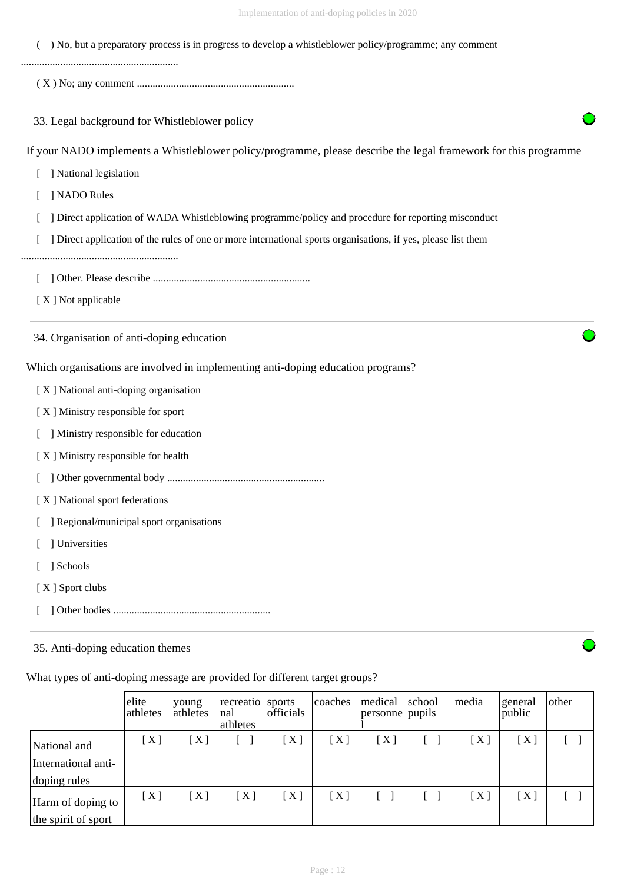| Implementation of anti-doping policies in 2020                                                                   |
|------------------------------------------------------------------------------------------------------------------|
| ) No, but a preparatory process is in progress to develop a whistleblower policy/programme; any comment          |
|                                                                                                                  |
| 33. Legal background for Whistleblower policy                                                                    |
| If your NADO implements a Whistleblower policy/programme, please describe the legal framework for this programme |
| ] National legislation                                                                                           |
| ] NADO Rules                                                                                                     |
| ] Direct application of WADA Whistleblowing programme/policy and procedure for reporting misconduct              |
| ] Direct application of the rules of one or more international sports organisations, if yes, please list them    |
|                                                                                                                  |
| [X] Not applicable                                                                                               |
| 34. Organisation of anti-doping education                                                                        |
| Which organisations are involved in implementing anti-doping education programs?                                 |
| [X] National anti-doping organisation                                                                            |
| [X] Ministry responsible for sport                                                                               |
| ] Ministry responsible for education                                                                             |
| [X] Ministry responsible for health                                                                              |
|                                                                                                                  |
| [X] National sport federations                                                                                   |
| ] Regional/municipal sport organisations                                                                         |
| ] Universities                                                                                                   |
| ] Schools                                                                                                        |
| [X] Sport clubs                                                                                                  |
|                                                                                                                  |
| 35. Anti-doping education themes                                                                                 |
|                                                                                                                  |

|                                                     | elite<br>athletes | young<br>athletes | recreatio sports<br>nal<br>athletes | officials         | coaches | medical<br>personne pupils | school | media | general<br>public | other |
|-----------------------------------------------------|-------------------|-------------------|-------------------------------------|-------------------|---------|----------------------------|--------|-------|-------------------|-------|
| National and<br>International anti-<br>doping rules | [X]               | [X]               |                                     | [X]               | [X]     | [X]                        |        | [X]   | [X]               |       |
| Harm of doping to<br>the spirit of sport            | [X]               | [X]               | [X]                                 | $\lceil X \rceil$ | [X]     |                            |        | [X]   | [X]               |       |

What types of anti-doping message are provided for different target groups?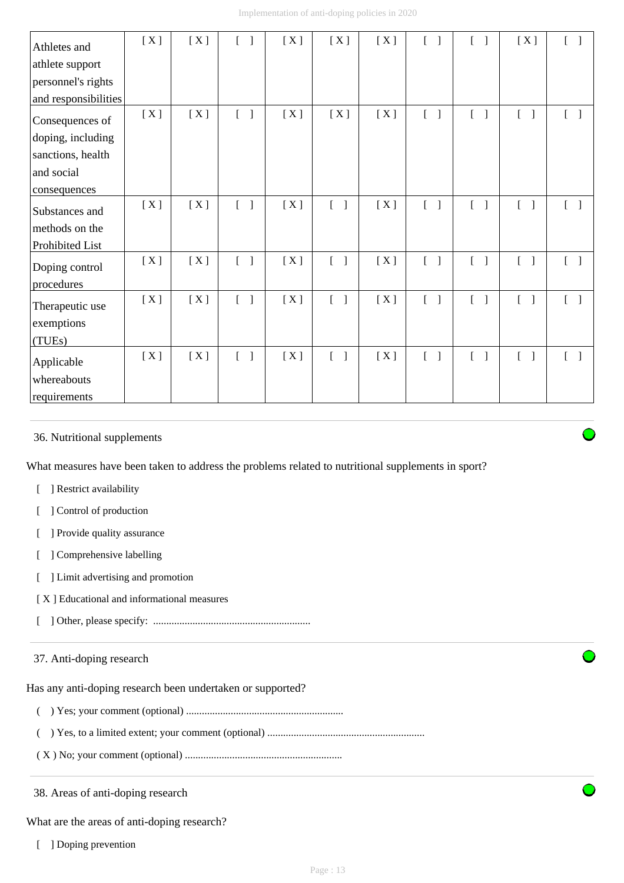| Athletes and<br>athlete support<br>personnel's rights<br>and responsibilities           | [X] | [X] | $\begin{bmatrix} 1 \end{bmatrix}$ | [X] | [X]                               | [X] | $\mathbf{r}$                      |                                   | [X]                               |                                       |
|-----------------------------------------------------------------------------------------|-----|-----|-----------------------------------|-----|-----------------------------------|-----|-----------------------------------|-----------------------------------|-----------------------------------|---------------------------------------|
| Consequences of<br>doping, including<br>sanctions, health<br>and social<br>consequences | [X] | [X] | $\begin{bmatrix} 1 \end{bmatrix}$ | [X] | [X]                               | [X] | $[\ ]$                            | $\begin{bmatrix} 1 \end{bmatrix}$ | $\begin{bmatrix} 1 \end{bmatrix}$ | $[\quad]$                             |
| Substances and<br>methods on the<br>Prohibited List                                     | [X] | [X] | $\begin{bmatrix} 1 \end{bmatrix}$ | [X] | $\begin{bmatrix} 1 \end{bmatrix}$ | [X] | $\begin{bmatrix} 1 \end{bmatrix}$ | $\begin{bmatrix} 1 \end{bmatrix}$ | $\begin{bmatrix} 1 \end{bmatrix}$ | $\begin{bmatrix} 1 \end{bmatrix}$     |
| Doping control<br>procedures                                                            | [X] | [X] | L<br>$\overline{\phantom{a}}$     | [X] | $\begin{bmatrix} 1 \end{bmatrix}$ | [X] | $\begin{bmatrix} 1 \end{bmatrix}$ | $\mathbb{R}$<br>$\mathbf{I}$      | $\Gamma$                          | $[\ ]$                                |
| Therapeutic use<br>exemptions<br>(TUEs)                                                 | [X] | [X] | $[ \quad ]$                       | [X] | $\begin{bmatrix} 1 \end{bmatrix}$ | [X] | $\begin{bmatrix} 1 \end{bmatrix}$ | $[$ $]$                           | $\begin{bmatrix} 1 \end{bmatrix}$ | $\begin{bmatrix} 1 & 1 \end{bmatrix}$ |
| Applicable<br>whereabouts<br>requirements                                               | [X] | [X] | $\begin{bmatrix} 1 \end{bmatrix}$ | [X] | $\begin{bmatrix} 1 \end{bmatrix}$ | [X] | $[\ ]$                            | $\begin{bmatrix} 1 \end{bmatrix}$ | $\begin{bmatrix} 1 \end{bmatrix}$ | $\begin{bmatrix} 1 \end{bmatrix}$     |

## 36. Nutritional supplements

What measures have been taken to address the problems related to nutritional supplements in sport?

- [ ] Restrict availability
- [ ] Control of production
- [ ] Provide quality assurance
- [ ] Comprehensive labelling
- [ ] Limit advertising and promotion
- [ X ] Educational and informational measures
- [ ] Other, please specify: ............................................................

## 37. Anti-doping research

Has any anti-doping research been undertaken or supported?

- ( ) Yes; your comment (optional) ............................................................
- ( ) Yes, to a limited extent; your comment (optional) ............................................................
- ( X ) No; your comment (optional) ............................................................

38. Areas of anti-doping research

What are the areas of anti-doping research?

[ ] Doping prevention